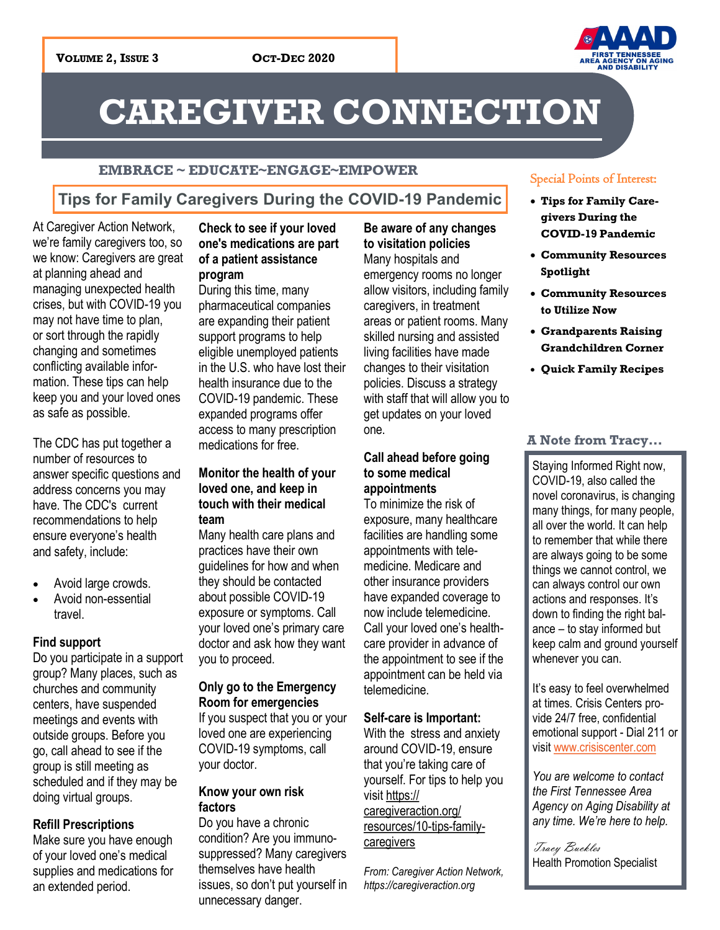

# **CAREGIVER CONNECTION**

#### **EMBRACE ~ EDUCATE~ENGAGE~EMPOWER**

### **Tips for Family Caregivers During the COVID-19 Pandemic**

At Caregiver Action Network, we're family caregivers too, so we know: Caregivers are great at planning ahead and managing unexpected health crises, but with COVID-19 you may not have time to plan, or sort through the rapidly changing and sometimes conflicting available information. These tips can help keep you and your loved ones as safe as possible.

The CDC has put together a number of resources to answer specific questions and address concerns you may have. The CDC's current recommendations to help ensure everyone's health and safety, include:

- Avoid large crowds.
- Avoid non-essential travel.

#### **Find support**

Do you participate in a support group? Many places, such as churches and community centers, have suspended meetings and events with outside groups. Before you go, call ahead to see if the group is still meeting as scheduled and if they may be doing virtual groups.

#### **Refill Prescriptions**

Make sure you have enough of your loved one's medical supplies and medications for an extended period.

#### **Check to see if your loved one's medications are part of a patient assistance program**

During this time, many pharmaceutical companies are expanding their patient support programs to help eligible unemployed patients in the U.S. who have lost their health insurance due to the COVID-19 pandemic. These expanded programs offer access to many prescription medications for free.

#### **Monitor the health of your loved one, and keep in touch with their medical team**

Many health care plans and practices have their own guidelines for how and when they should be contacted about possible COVID-19 exposure or symptoms. Call your loved one's primary care doctor and ask how they want you to proceed.

#### **Only go to the Emergency Room for emergencies**

If you suspect that you or your loved one are experiencing COVID-19 symptoms, call your doctor.

#### **Know your own risk factors**

Do you have a chronic condition? Are you immunosuppressed? Many caregivers themselves have health issues, so don't put yourself in unnecessary danger.

**Be aware of any changes to visitation policies** Many hospitals and emergency rooms no longer allow visitors, including family caregivers, in treatment areas or patient rooms. Many skilled nursing and assisted living facilities have made changes to their visitation policies. Discuss a strategy with staff that will allow you to get updates on your loved one.

#### **Call ahead before going to some medical appointments**

To minimize the risk of exposure, many healthcare facilities are handling some appointments with telemedicine. Medicare and other insurance providers have expanded coverage to now include telemedicine. Call your loved one's healthcare provider in advance of the appointment to see if the appointment can be held via telemedicine.

#### **Self-care is Important:**

With the stress and anxiety around COVID-19, ensure that you're taking care of yourself. For tips to help you visit [https://](https://caregiveraction.org/resources/10-tips-family-caregivers) [caregiveraction.org/](https://caregiveraction.org/resources/10-tips-family-caregivers) [resources/10-tips-family](https://caregiveraction.org/resources/10-tips-family-caregivers)**[caregivers](https://caregiveraction.org/resources/10-tips-family-caregivers)** 

*From: Caregiver Action Network, https://caregiveraction.org*

#### Special Points of Interest:

- **Tips for Family Caregivers During the COVID-19 Pandemic**
- **Community Resources Spotlight**
- **Community Resources to Utilize Now**
- **Grandparents Raising Grandchildren Corner**
- **Quick Family Recipes**

#### **A Note from Tracy...**

Staying Informed Right now, COVID-19, also called the novel coronavirus, is changing many things, for many people, all over the world. It can help to remember that while there are always going to be some things we cannot control, we can always control our own actions and responses. It's down to finding the right balance – to stay informed but keep calm and ground yourself whenever you can.

It's easy to feel overwhelmed at times. Crisis Centers provide 24/7 free, confidential emotional support - Dial 211 or visit [www.crisiscenter.com](http://www.crisiscenter.com)

*You are welcome to contact the First Tennessee Area Agency on Aging Disability at any time. We're here to help.*

Tracy Buckles Health Promotion Specialist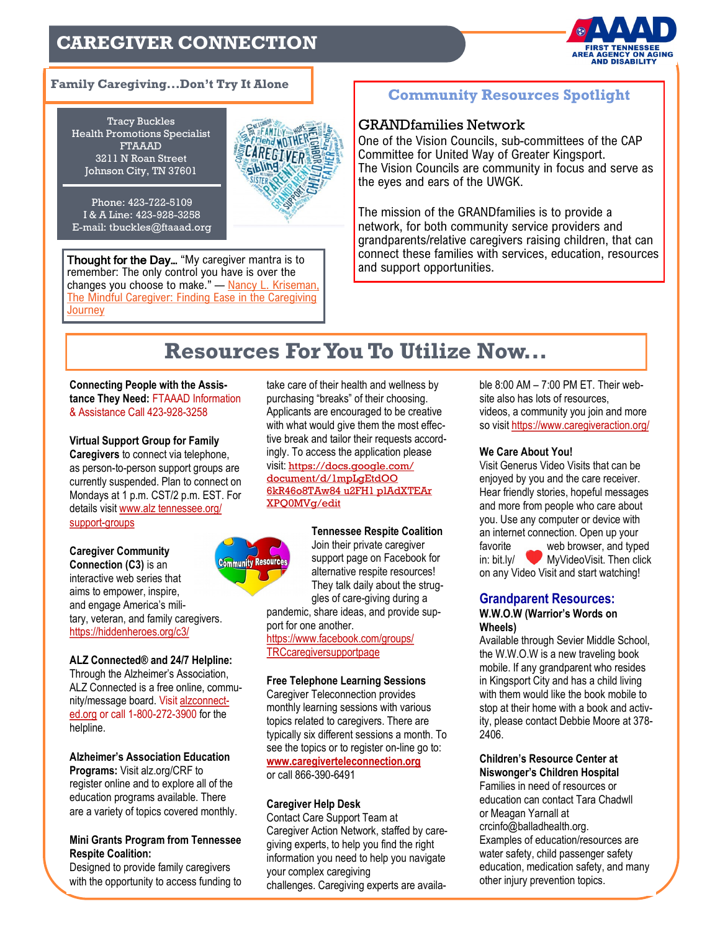### **CAREGIVER CONNECTION**



#### **Family Caregiving...Don't Try It Alone**

Tracy Buckles Health Promotions Specialist FTAAAD 3211 N Roan Street Johnson City, TN 37601



Phone: 423-722-5109 I & A Line: 423-928-3258 E-mail: tbuckles@ftaaad.org

Thought for the Day... "My caregiver mantra is to and support opportunities. remember: The only control you have is over the changes you choose to make." - Nancy L. Kriseman, [The Mindful Caregiver: Finding Ease in the Caregiving](https://www.goodreads.com/book/show/18470493-the-mindful-caregiver)  **[Journey](https://www.goodreads.com/book/show/18470493-the-mindful-caregiver)** 

#### **Community Resources Spotlight**

#### GRANDfamilies Network

One of the Vision Councils, sub-committees of the CAP Committee for United Way of Greater Kingsport. The Vision Councils are community in focus and serve as the eyes and ears of the UWGK.

The mission of the GRANDfamilies is to provide a network, for both community service providers and grandparents/relative caregivers raising children, that can connect these families with services, education, resources

### **Resources For You To Utilize Now...**

**Connecting People with the Assistance They Need:** FTAAAD Information & Assistance Call 423-928-3258

**Virtual Support Group for Family Caregivers** to connect via telephone, as person-to-person support groups are currently suspended. Plan to connect on Mondays at 1 p.m. CST/2 p.m. EST. For details visit [www.alz tennessee.org/](http://www.alztennessee.org/support-groups) [support-groups](http://www.alztennessee.org/support-groups)

**Caregiver Community Connection (C3)** is an interactive web series that aims to empower, inspire, and engage America's military, veteran, and family caregivers. [https://hiddenheroes.org/c3/](https://hiddenheroes.org/c3/?fbclid=IwAR0z-JrloCDPH43QirXxl7bqHNOHi0eowEwvO-gnIh8teYuoeeeCD8YoYbY)

#### **ALZ Connected® and 24/7 Helpline:**

Through the Alzheimer's Association, ALZ Connected is a free online, community/message board. Visit alzconnected.org or call 1-800-272-3900 for the helpline.

**Alzheimer's Association Education Programs:** Visit alz.org/CRF to register online and to explore all of the education programs available. There are a variety of topics covered monthly.

#### **Mini Grants Program from Tennessee Respite Coalition:**

Designed to provide family caregivers with the opportunity to access funding to take care of their health and wellness by purchasing "breaks" of their choosing. Applicants are encouraged to be creative with what would give them the most effective break and tailor their requests accordingly. To access the application please visit: [https://docs.google.com/](https://docs.google.com/document/d/1mpLgEtdOO6kR46o8TATw84u2FH1plAdXTEArXPQ0MVg/edit) [document/d/1mpLgEtdOO](https://docs.google.com/document/d/1mpLgEtdOO6kR46o8TATw84u2FH1plAdXTEArXPQ0MVg/edit)  [6kR46o8TAw84 u2FH1 plAdXTEAr](https://docs.google.com/document/d/1mpLgEtdOO6kR46o8TATw84u2FH1plAdXTEArXPQ0MVg/edit)  [XPQ0MVg/edit](https://docs.google.com/document/d/1mpLgEtdOO6kR46o8TATw84u2FH1plAdXTEArXPQ0MVg/edit)



**Tennessee Respite Coalition**  Join their private caregiver support page on Facebook for alternative respite resources! They talk daily about the struggles of care-giving during a

pandemic, share ideas, and provide support for one another.

[https://www.facebook.com/groups/](https://www.facebook.com/groups/TRCcaregiversupportpage/?__cft__%5b0%5d=AZXf7Z0jdT4Z6AHX95vuktpRfp1sXU8RSG6WaVMY7WllJLs6dNpcxfYZUDAQVdqzuXI-Yr2gYR-a9ZejC-7R4tbBvk0t9v8T-sL7LFxCMtVr0lFk9-fctxTKB6mC51X9QJgPgSkerUbvI7ivjCKFccQmOwDwpqpeDwP6_fsorqfxYg&__tn__=-UK-R) [TRCcaregiversupportpage](https://www.facebook.com/groups/TRCcaregiversupportpage/?__cft__%5b0%5d=AZXf7Z0jdT4Z6AHX95vuktpRfp1sXU8RSG6WaVMY7WllJLs6dNpcxfYZUDAQVdqzuXI-Yr2gYR-a9ZejC-7R4tbBvk0t9v8T-sL7LFxCMtVr0lFk9-fctxTKB6mC51X9QJgPgSkerUbvI7ivjCKFccQmOwDwpqpeDwP6_fsorqfxYg&__tn__=-UK-R)

#### **Free Telephone Learning Sessions**

Caregiver Teleconnection provides monthly learning sessions with various topics related to caregivers. There are typically six different sessions a month. To see the topics or to register on-line go to: **[www.caregiverteleconnection.org](http://www.caregiverteleconnection.org)** or call 866-390-6491

#### **Caregiver Help Desk**

Contact Care Support Team at Caregiver Action Network, staffed by caregiving experts, to help you find the right information you need to help you navigate your complex caregiving challenges. Caregiving experts are availa-

ble 8:00 AM – 7:00 PM ET. Their website also has lots of resources, videos, a community you join and more so visit<https://www.caregiveraction.org/>

#### **We Care About You!**

Visit Generus Video Visits that can be enjoyed by you and the care receiver. Hear friendly stories, hopeful messages and more from people who care about you. Use any computer or device with an internet connection. Open up your favorite \_\_\_\_\_ web browser, and typed in: bit.ly/ MyVideoVisit. Then click on any Video Visit and start watching!

### **Grandparent Resources:**

#### **W.W.O.W (Warrior's Words on Wheels)**

Available through Sevier Middle School, the W.W.O.W is a new traveling book mobile. If any grandparent who resides in Kingsport City and has a child living with them would like the book mobile to stop at their home with a book and activity, please contact Debbie Moore at 378- 2406.

### **Children's Resource Center at**

**Niswonger's Children Hospital** Families in need of resources or education can contact Tara Chadwll or Meagan Yarnall at crcinfo@balladhealth.org. Examples of education/resources are water safety, child passenger safety education, medication safety, and many other injury prevention topics.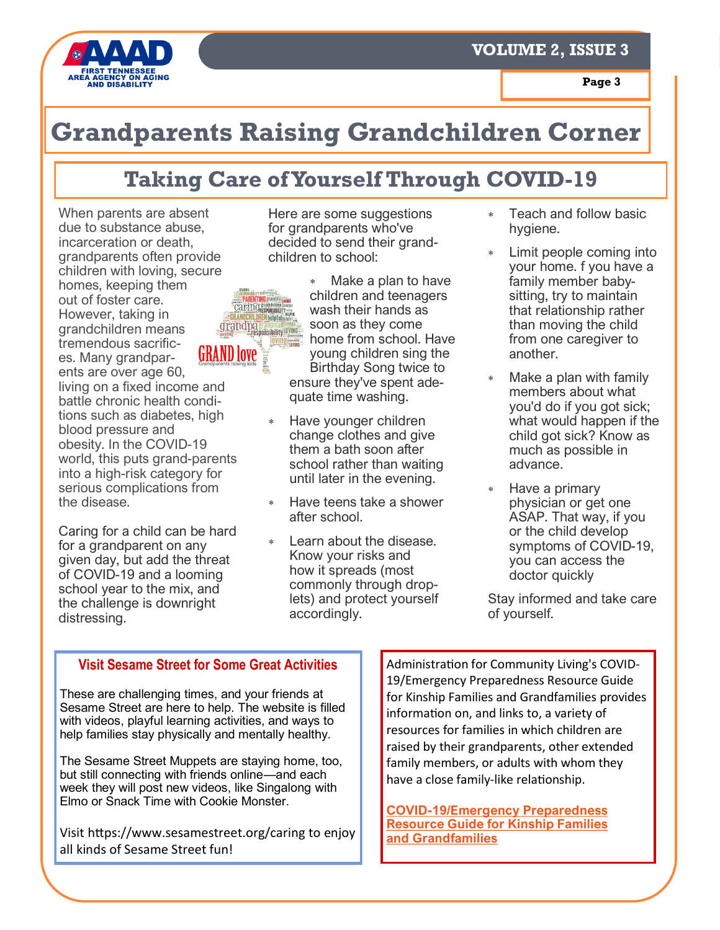

## **Grandparents Raising Grandchildren Corner**

### **Taking Care of Yourself Through COVID-19**

When parents are absent due to substance abuse, incarceration or death, grandparents often provide children with loving, secure homes, keeping them out of foster care. However, taking in **EGRANDCHILDRENheipful** grand pa grandmagang grandchildren means tremendous sacrific-**GRAND LOVE** es. Many grandparents are over age 60, living on a fixed income and battle chronic health conditions such as diabetes, high blood pressure and obesity. In the COVID-19 world, this puts grand-parents into a high-risk category for serious complications from the disease.

Caring for a child can be hard for a grandparent on any given day, but add the threat of COVID-19 and a looming school year to the mix, and the challenge is downright distressing.

Here are some suggestions for grandparents who've decided to send their grandchildren to school:

 Make a plan to have **PARENTING grandma**<br>Cate in Caranghia canno<br>Cate in Caranghia cannon<br>RANDCHILDREN heinful service children and teenagers wash their hands as soon as they come home from school. Have young children sing the Birthday Song twice to ensure they've spent adequate time washing.

- Have younger children change clothes and give them a bath soon after school rather than waiting until later in the evening.
- Have teens take a shower after school.
- Learn about the disease. Know your risks and how it spreads (most commonly through droplets) and protect yourself accordingly.
- Teach and follow basic hygiene.
- Limit people coming into your home. f you have a family member babysitting, try to maintain that relationship rather than moving the child from one caregiver to another.
- Make a plan with family members about what you'd do if you got sick; what would happen if the child got sick? Know as much as possible in advance.
- \* Have a primary physician or get one ASAP. That way, if you or the child develop symptoms of COVID-19, you can access the doctor quickly

Stay informed and take care of yourself.

#### **Visit Sesame Street for Some Great Activities**

These are challenging times, and your friends at Sesame Street are here to help. The website is filled with videos, playful learning activities, and ways to help families stay physically and mentally healthy.

The Sesame Street Muppets are staying home, too, but still connecting with friends online—and each week they will post new videos, like Singalong with Elmo or Snack Time with Cookie Monster.

Visit https://www.sesamestreet.org/caring to enjoy all kinds of Sesame Street fun!

Administration for Community Living's COVID-19/Emergency Preparedness Resource Guide for Kinship Families and Grandfamilies provides information on, and links to, a variety of resources for families in which children are raised by their grandparents, other extended family members, or adults with whom they have a close family-like relationship.

**COVID-[19/Emergency Preparedness](https://nam12.safelinks.protection.outlook.com/?url=https%3A%2F%2Flnks.gd%2Fl%2FeyJhbGciOiJIUzI1NiJ9.eyJidWxsZXRpbl9saW5rX2lkIjoxMDIsInVyaSI6ImJwMjpjbGljayIsImJ1bGxldGluX2lkIjoiMjAyMDA4MzEuMjYzNDQ2ODEiLCJ1cmwiOiJodHRwczovL2FjbC5nb3Yvc2l0ZXMvZGVmYXVsdC9maWxlcy)  [Resource Guide for Kinship Families](https://nam12.safelinks.protection.outlook.com/?url=https%3A%2F%2Flnks.gd%2Fl%2FeyJhbGciOiJIUzI1NiJ9.eyJidWxsZXRpbl9saW5rX2lkIjoxMDIsInVyaSI6ImJwMjpjbGljayIsImJ1bGxldGluX2lkIjoiMjAyMDA4MzEuMjYzNDQ2ODEiLCJ1cmwiOiJodHRwczovL2FjbC5nb3Yvc2l0ZXMvZGVmYXVsdC9maWxlcy)  [and Grandfamilies](https://nam12.safelinks.protection.outlook.com/?url=https%3A%2F%2Flnks.gd%2Fl%2FeyJhbGciOiJIUzI1NiJ9.eyJidWxsZXRpbl9saW5rX2lkIjoxMDIsInVyaSI6ImJwMjpjbGljayIsImJ1bGxldGluX2lkIjoiMjAyMDA4MzEuMjYzNDQ2ODEiLCJ1cmwiOiJodHRwczovL2FjbC5nb3Yvc2l0ZXMvZGVmYXVsdC9maWxlcy)**